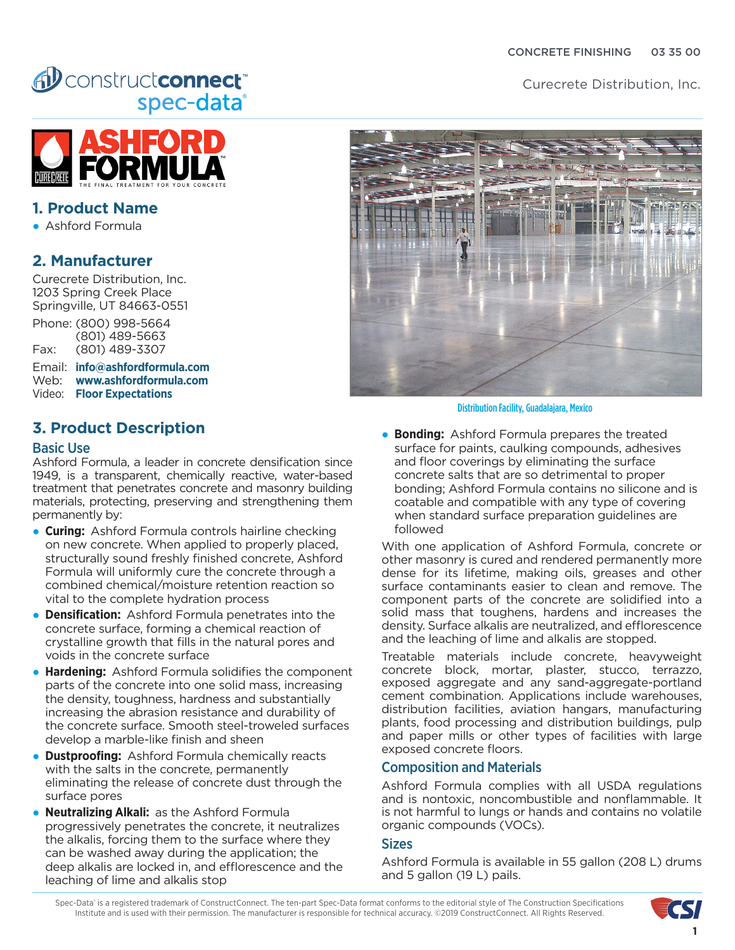Curecrete Distribution, Inc.

# AD constructconnect spec-data®



## **1. Product Name**

● Ashford Formula

## **2. Manufacturer**

Curecrete Distribution, Inc. 1203 Spring Creek Place Springville, UT 84663-0551

Phone: (800) 998-5664 (801) 489-5663 Fax: (801) 489-3307

Email: **[info@ashfordformula.com](mailto:info%40ashfordformula.com?subject=Inquiry%20from%20CMD%20Spec-Data)** Web: **[www.ashfordformula.com](http://www.ashfordformula.com)** Video: **[Floor Expectations](https://www.youtube.com/watch?v=8ir0_wPndn4)**

# **3. Product Description**

#### Basic Use

Ashford Formula, a leader in concrete densification since 1949, is a transparent, chemically reactive, water-based treatment that penetrates concrete and masonry building materials, protecting, preserving and strengthening them permanently by:

- **Curing:** Ashford Formula controls hairline checking on new concrete. When applied to properly placed, structurally sound freshly finished concrete, Ashford Formula will uniformly cure the concrete through a combined chemical/moisture retention reaction so vital to the complete hydration process
- **Densification:** Ashford Formula penetrates into the concrete surface, forming a chemical reaction of crystalline growth that fills in the natural pores and voids in the concrete surface
- **Hardening:** Ashford Formula solidifies the component parts of the concrete into one solid mass, increasing the density, toughness, hardness and substantially increasing the abrasion resistance and durability of the concrete surface. Smooth steel-troweled surfaces develop a marble-like finish and sheen
- **Dustproofing:** Ashford Formula chemically reacts with the salts in the concrete, permanently eliminating the release of concrete dust through the surface pores
- **Neutralizing Alkali:** as the Ashford Formula progressively penetrates the concrete, it neutralizes the alkalis, forcing them to the surface where they can be washed away during the application; the deep alkalis are locked in, and efflorescence and the leaching of lime and alkalis stop



Distribution Facility, Guadalajara, Mexico

**• Bonding:** Ashford Formula prepares the treated surface for paints, caulking compounds, adhesives and floor coverings by eliminating the surface concrete salts that are so detrimental to proper bonding; Ashford Formula contains no silicone and is coatable and compatible with any type of covering when standard surface preparation guidelines are followed

With one application of Ashford Formula, concrete or other masonry is cured and rendered permanently more dense for its lifetime, making oils, greases and other surface contaminants easier to clean and remove. The component parts of the concrete are solidified into a solid mass that toughens, hardens and increases the density. Surface alkalis are neutralized, and efflorescence and the leaching of lime and alkalis are stopped.

Treatable materials include concrete, heavyweight concrete block, mortar, plaster, stucco, terrazzo, exposed aggregate and any sand-aggregate-portland cement combination. Applications include warehouses, distribution facilities, aviation hangars, manufacturing plants, food processing and distribution buildings, pulp and paper mills or other types of facilities with large exposed concrete floors.

### Composition and Materials

Ashford Formula complies with all USDA regulations and is nontoxic, noncombustible and nonflammable. It is not harmful to lungs or hands and contains no volatile organic compounds (VOCs).

#### **Sizes**

Ashford Formula is available in 55 gallon (208 L) drums and 5 gallon (19 L) pails.

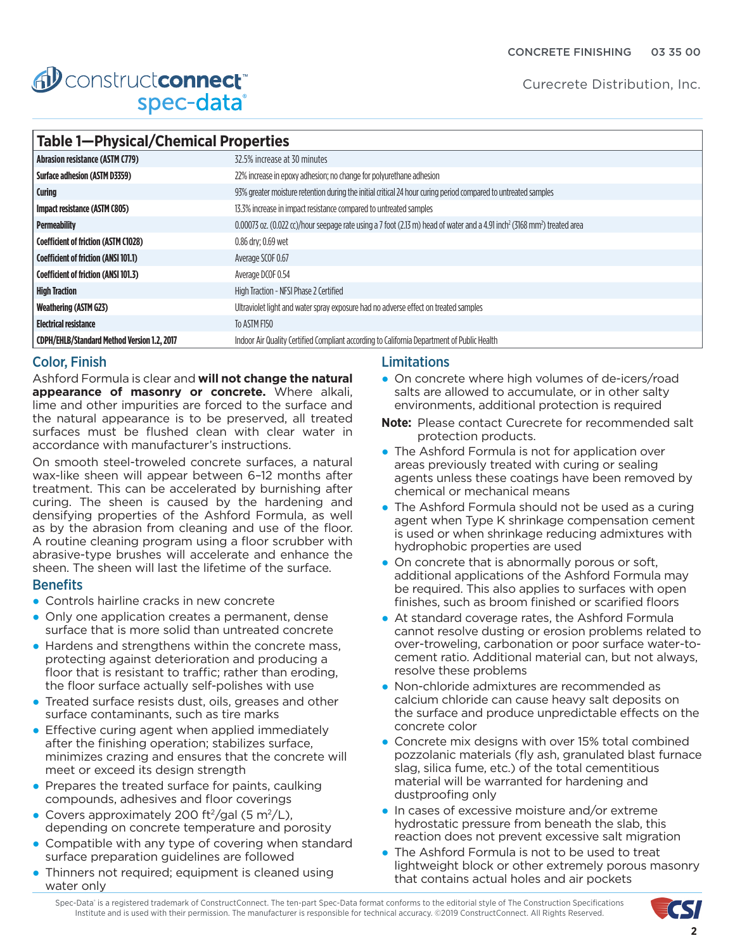Curecrete Distribution, Inc.

| <b>fil construct connect</b> |  |
|------------------------------|--|
| spec-data®                   |  |

| Table 1-Physical/Chemical Properties               |                                                                                                                                                                |  |
|----------------------------------------------------|----------------------------------------------------------------------------------------------------------------------------------------------------------------|--|
| <b>Abrasion resistance (ASTM C779)</b>             | 32.5% increase at 30 minutes                                                                                                                                   |  |
| <b>Surface adhesion (ASTM D3359)</b>               | 22% increase in epoxy adhesion; no change for polyurethane adhesion                                                                                            |  |
| <b>Curing</b>                                      | 93% greater moisture retention during the initial critical 24 hour curing period compared to untreated samples                                                 |  |
| Impact resistance (ASTM C805)                      | 13.3% increase in impact resistance compared to untreated samples                                                                                              |  |
| <b>Permeability</b>                                | $0.00073$ oz. $(0.022$ cc)/hour seepage rate using a 7 foot $(2.13 \text{ m})$ head of water and a 4.91 inch <sup>2</sup> (3168 mm <sup>2</sup> ) treated area |  |
| <b>Coefficient of friction (ASTM C1028)</b>        | 0.86 dry; 0.69 wet                                                                                                                                             |  |
| <b>Coefficient of friction (ANSI 101.1)</b>        | Average SCOF 0.67                                                                                                                                              |  |
| <b>Coefficient of friction (ANSI 101.3)</b>        | Average DCOF 0.54                                                                                                                                              |  |
| <b>High Traction</b>                               | High Traction - NFSI Phase 2 Certified                                                                                                                         |  |
| <b>Weathering (ASTM G23)</b>                       | Ultraviolet light and water spray exposure had no adverse effect on treated samples                                                                            |  |
| <b>Electrical resistance</b>                       | To ASTM F150                                                                                                                                                   |  |
| <b>CDPH/EHLB/Standard Method Version 1.2, 2017</b> | Indoor Air Quality Certified Compliant according to California Department of Public Health                                                                     |  |

## Color, Finish

Ashford Formula is clear and **will not change the natural appearance of masonry or concrete.** Where alkali, lime and other impurities are forced to the surface and the natural appearance is to be preserved, all treated surfaces must be flushed clean with clear water in accordance with manufacturer's instructions.

On smooth steel-troweled concrete surfaces, a natural wax-like sheen will appear between 6–12 months after treatment. This can be accelerated by burnishing after curing. The sheen is caused by the hardening and densifying properties of the Ashford Formula, as well as by the abrasion from cleaning and use of the floor. A routine cleaning program using a floor scrubber with abrasive-type brushes will accelerate and enhance the sheen. The sheen will last the lifetime of the surface.

## **Benefits**

- Controls hairline cracks in new concrete
- Only one application creates a permanent, dense surface that is more solid than untreated concrete
- Hardens and strengthens within the concrete mass, protecting against deterioration and producing a floor that is resistant to traffic; rather than eroding, the floor surface actually self-polishes with use
- Treated surface resists dust, oils, greases and other surface contaminants, such as tire marks
- Effective curing agent when applied immediately after the finishing operation; stabilizes surface, minimizes crazing and ensures that the concrete will meet or exceed its design strength
- Prepares the treated surface for paints, caulking compounds, adhesives and floor coverings
- Covers approximately 200 ft<sup>2</sup>/gal (5 m<sup>2</sup>/L), depending on concrete temperature and porosity
- Compatible with any type of covering when standard surface preparation guidelines are followed
- Thinners not required; equipment is cleaned using water only

## **Limitations**

- On concrete where high volumes of de-icers/road salts are allowed to accumulate, or in other salty environments, additional protection is required
- **Note:** Please contact Curecrete for recommended salt protection products.
- The Ashford Formula is not for application over areas previously treated with curing or sealing agents unless these coatings have been removed by chemical or mechanical means
- The Ashford Formula should not be used as a curing agent when Type K shrinkage compensation cement is used or when shrinkage reducing admixtures with hydrophobic properties are used
- On concrete that is abnormally porous or soft, additional applications of the Ashford Formula may be required. This also applies to surfaces with open finishes, such as broom finished or scarified floors
- At standard coverage rates, the Ashford Formula cannot resolve dusting or erosion problems related to over-troweling, carbonation or poor surface water-tocement ratio. Additional material can, but not always, resolve these problems
- Non-chloride admixtures are recommended as calcium chloride can cause heavy salt deposits on the surface and produce unpredictable effects on the concrete color
- Concrete mix designs with over 15% total combined pozzolanic materials (fly ash, granulated blast furnace slag, silica fume, etc.) of the total cementitious material will be warranted for hardening and dustproofing only
- In cases of excessive moisture and/or extreme hydrostatic pressure from beneath the slab, this reaction does not prevent excessive salt migration
- The Ashford Formula is not to be used to treat lightweight block or other extremely porous masonry that contains actual holes and air pockets

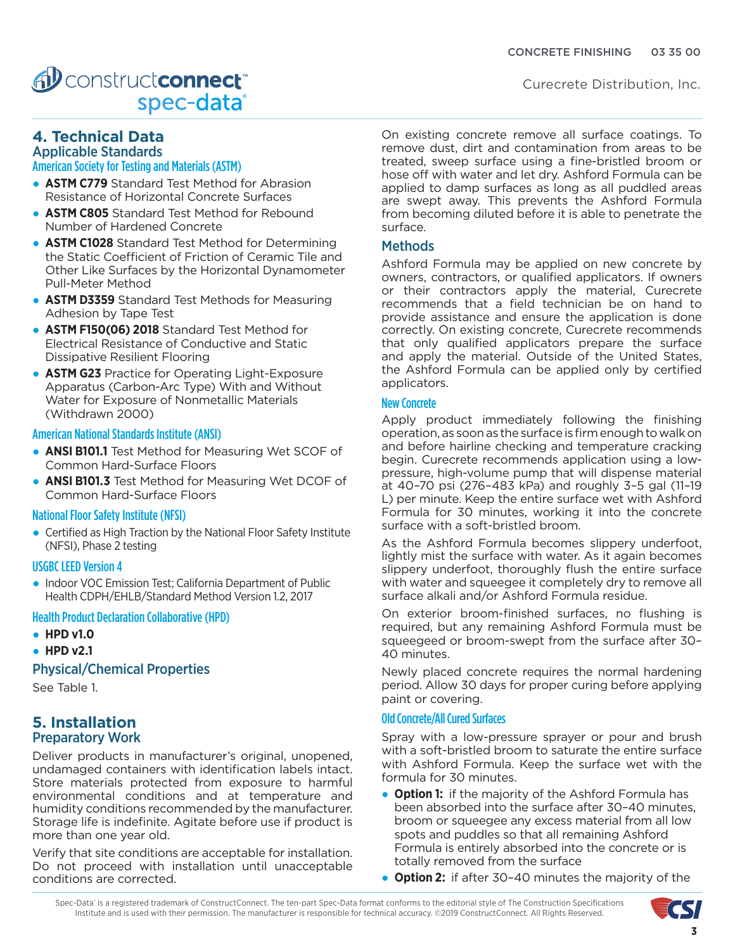# AD construct connect spec-data®

# **4. Technical Data**

# Applicable Standards

# American Society for Testing and Materials (ASTM)

- **ASTM C779** Standard Test Method for Abrasion Resistance of Horizontal Concrete Surfaces
- **ASTM C805** Standard Test Method for Rebound Number of Hardened Concrete
- **ASTM C1028** Standard Test Method for Determining the Static Coefficient of Friction of Ceramic Tile and Other Like Surfaces by the Horizontal Dynamometer Pull-Meter Method
- **ASTM D3359** Standard Test Methods for Measuring Adhesion by Tape Test
- **ASTM F150(06) 2018** Standard Test Method for Electrical Resistance of Conductive and Static Dissipative Resilient Flooring
- **ASTM G23** Practice for Operating Light-Exposure Apparatus (Carbon-Arc Type) With and Without Water for Exposure of Nonmetallic Materials (Withdrawn 2000)

#### American National Standards Institute (ANSI)

- **ANSI B101.1** Test Method for Measuring Wet SCOF of Common Hard-Surface Floors
- **ANSI B101.3** Test Method for Measuring Wet DCOF of Common Hard-Surface Floors

#### National Floor Safety Institute (NFSI)

● Certified as High Traction by the National Floor Safety Institute (NFSI), Phase 2 testing

#### USGBC LEED Version 4

● Indoor VOC Emission Test: California Department of Public Health CDPH/EHLB/Standard Method Version 1.2, 2017

#### Health Product Declaration Collaborative (HPD)

- **HPD v1.0**
- **HPD v2.1**

## Physical/Chemical Properties

See Table 1.

## **5. Installation** Preparatory Work

Deliver products in manufacturer's original, unopened, undamaged containers with identification labels intact. Store materials protected from exposure to harmful environmental conditions and at temperature and humidity conditions recommended by the manufacturer. Storage life is indefinite. Agitate before use if product is more than one year old.

Verify that site conditions are acceptable for installation. Do not proceed with installation until unacceptable conditions are corrected.

On existing concrete remove all surface coatings. To remove dust, dirt and contamination from areas to be treated, sweep surface using a fine-bristled broom or hose off with water and let dry. Ashford Formula can be applied to damp surfaces as long as all puddled areas are swept away. This prevents the Ashford Formula from becoming diluted before it is able to penetrate the surface.

### **Methods**

Ashford Formula may be applied on new concrete by owners, contractors, or qualified applicators. If owners or their contractors apply the material, Curecrete recommends that a field technician be on hand to provide assistance and ensure the application is done correctly. On existing concrete, Curecrete recommends that only qualified applicators prepare the surface and apply the material. Outside of the United States, the Ashford Formula can be applied only by certified applicators.

#### New Concrete

Apply product immediately following the finishing operation, as soon as the surface is firm enough to walk on and before hairline checking and temperature cracking begin. Curecrete recommends application using a lowpressure, high-volume pump that will dispense material at 40–70 psi (276–483 kPa) and roughly 3–5 gal (11–19 L) per minute. Keep the entire surface wet with Ashford Formula for 30 minutes, working it into the concrete surface with a soft-bristled broom.

As the Ashford Formula becomes slippery underfoot, lightly mist the surface with water. As it again becomes slippery underfoot, thoroughly flush the entire surface with water and squeegee it completely dry to remove all surface alkali and/or Ashford Formula residue.

On exterior broom-finished surfaces, no flushing is required, but any remaining Ashford Formula must be squeegeed or broom-swept from the surface after 30– 40 minutes.

Newly placed concrete requires the normal hardening period. Allow 30 days for proper curing before applying paint or covering.

#### Old Concrete/All Cured Surfaces

Spray with a low-pressure sprayer or pour and brush with a soft-bristled broom to saturate the entire surface with Ashford Formula. Keep the surface wet with the formula for 30 minutes.

- **Option 1:** if the majority of the Ashford Formula has been absorbed into the surface after 30–40 minutes, broom or squeegee any excess material from all low spots and puddles so that all remaining Ashford Formula is entirely absorbed into the concrete or is totally removed from the surface
- **Option 2:** if after 30–40 minutes the majority of the